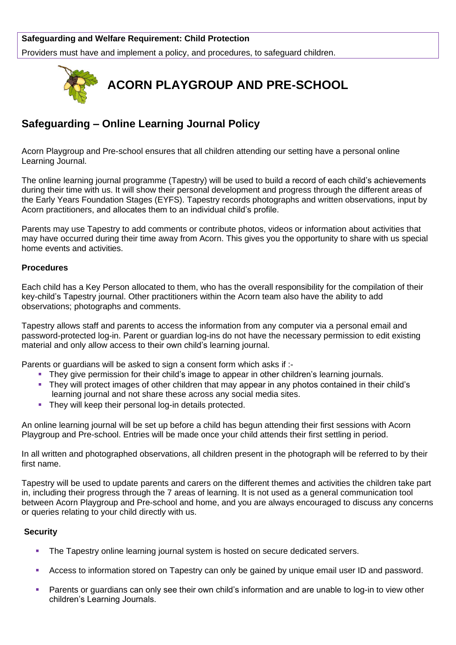## **Safeguarding and Welfare Requirement: Child Protection**

Providers must have and implement a policy, and procedures, to safeguard children.



## **Safeguarding – Online Learning Journal Policy**

Acorn Playgroup and Pre-school ensures that all children attending our setting have a personal online Learning Journal.

The online learning journal programme (Tapestry) will be used to build a record of each child's achievements during their time with us. It will show their personal development and progress through the different areas of the Early Years Foundation Stages (EYFS). Tapestry records photographs and written observations, input by Acorn practitioners, and allocates them to an individual child's profile.

Parents may use Tapestry to add comments or contribute photos, videos or information about activities that may have occurred during their time away from Acorn. This gives you the opportunity to share with us special home events and activities.

## **Procedures**

Each child has a Key Person allocated to them, who has the overall responsibility for the compilation of their key-child's Tapestry journal. Other practitioners within the Acorn team also have the ability to add observations; photographs and comments.

Tapestry allows staff and parents to access the information from any computer via a personal email and password-protected log-in. Parent or guardian log-ins do not have the necessary permission to edit existing material and only allow access to their own child's learning journal.

Parents or guardians will be asked to sign a consent form which asks if :-

- **•** They give permission for their child's image to appear in other children's learning journals.
- They will protect images of other children that may appear in any photos contained in their child's learning journal and not share these across any social media sites.
- **They will keep their personal log-in details protected.**

An online learning journal will be set up before a child has begun attending their first sessions with Acorn Playgroup and Pre-school. Entries will be made once your child attends their first settling in period.

In all written and photographed observations, all children present in the photograph will be referred to by their first name.

Tapestry will be used to update parents and carers on the different themes and activities the children take part in, including their progress through the 7 areas of learning. It is not used as a general communication tool between Acorn Playgroup and Pre-school and home, and you are always encouraged to discuss any concerns or queries relating to your child directly with us.

## **Security**

- The Tapestry online learning journal system is hosted on secure dedicated servers.
- Access to information stored on Tapestry can only be gained by unique email user ID and password.
- Parents or guardians can only see their own child's information and are unable to log-in to view other children's Learning Journals.